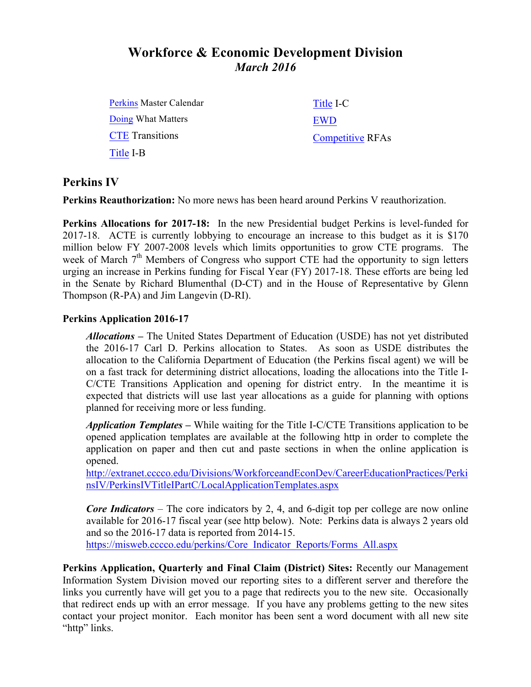# **Workforce & Economic Development Division** *March 2016*

Perkins Master Calendar Doing What Matters **CTE** Transitions Title I-B

Title I-C EWD Competitive RFAs

#### **Perkins IV**

**Perkins Reauthorization:** No more news has been heard around Perkins V reauthorization.

**Perkins Allocations for 2017-18:** In the new Presidential budget Perkins is level-funded for 2017-18. ACTE is currently lobbying to encourage an increase to this budget as it is \$170 million below FY 2007-2008 levels which limits opportunities to grow CTE programs. The week of March  $7<sup>th</sup>$  Members of Congress who support CTE had the opportunity to sign letters urging an increase in Perkins funding for Fiscal Year (FY) 2017-18. These efforts are being led in the Senate by Richard Blumenthal (D-CT) and in the House of Representative by Glenn Thompson (R-PA) and Jim Langevin (D-RI).

#### **Perkins Application 2016-17**

*Allocations –* The United States Department of Education (USDE) has not yet distributed the 2016-17 Carl D. Perkins allocation to States. As soon as USDE distributes the allocation to the California Department of Education (the Perkins fiscal agent) we will be on a fast track for determining district allocations, loading the allocations into the Title I-C/CTE Transitions Application and opening for district entry. In the meantime it is expected that districts will use last year allocations as a guide for planning with options planned for receiving more or less funding.

*Application Templates –* While waiting for the Title I-C/CTE Transitions application to be opened application templates are available at the following http in order to complete the application on paper and then cut and paste sections in when the online application is opened.

http://extranet.cccco.edu/Divisions/WorkforceandEconDev/CareerEducationPractices/Perki nsIV/PerkinsIVTitleIPartC/LocalApplicationTemplates.aspx

*Core Indicators* – The core indicators by 2, 4, and 6-digit top per college are now online available for 2016-17 fiscal year (see http below). Note: Perkins data is always 2 years old and so the 2016-17 data is reported from 2014-15. https://misweb.cccco.edu/perkins/Core\_Indicator\_Reports/Forms\_All.aspx

**Perkins Application, Quarterly and Final Claim (District) Sites:** Recently our Management Information System Division moved our reporting sites to a different server and therefore the links you currently have will get you to a page that redirects you to the new site. Occasionally that redirect ends up with an error message. If you have any problems getting to the new sites contact your project monitor. Each monitor has been sent a word document with all new site "http" links.